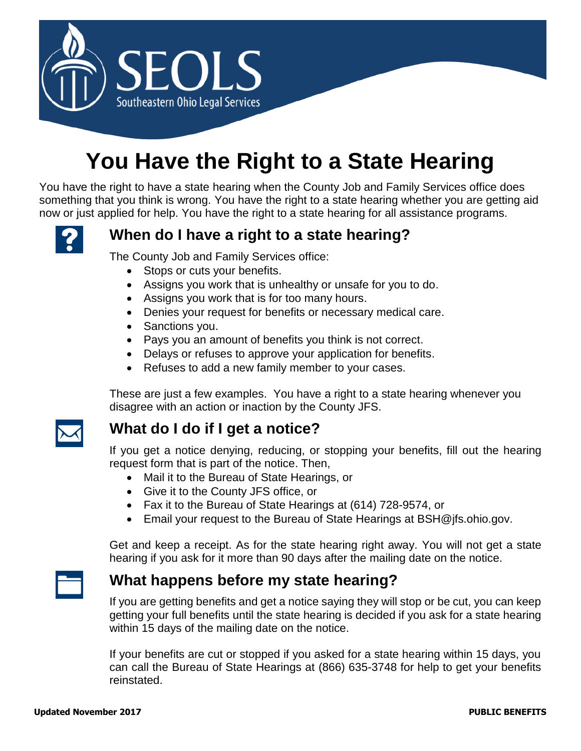

# **You Have the Right to a State Hearing**

You have the right to have a state hearing when the County Job and Family Services office does something that you think is wrong. You have the right to a state hearing whether you are getting aid now or just applied for help. You have the right to a state hearing for all assistance programs.



## **When do I have a right to a state hearing?**

The County Job and Family Services office:

- Stops or cuts your benefits.
- Assigns you work that is unhealthy or unsafe for you to do.
- Assigns you work that is for too many hours.
- Denies your request for benefits or necessary medical care.
- Sanctions you.
- Pays you an amount of benefits you think is not correct.
- Delays or refuses to approve your application for benefits.
- Refuses to add a new family member to your cases.

These are just a few examples. You have a right to a state hearing whenever you disagree with an action or inaction by the County JFS.



#### **What do I do if I get a notice?**

If you get a notice denying, reducing, or stopping your benefits, fill out the hearing request form that is part of the notice. Then,

- Mail it to the Bureau of State Hearings, or
- Give it to the County JFS office, or
- Fax it to the Bureau of State Hearings at (614) 728-9574, or
- Email your request to the Bureau of State Hearings at BSH@jfs.ohio.gov.

Get and keep a receipt. As for the state hearing right away. You will not get a state hearing if you ask for it more than 90 days after the mailing date on the notice.

### **What happens before my state hearing?**

If you are getting benefits and get a notice saying they will stop or be cut, you can keep getting your full benefits until the state hearing is decided if you ask for a state hearing within 15 days of the mailing date on the notice.

If your benefits are cut or stopped if you asked for a state hearing within 15 days, you can call the Bureau of State Hearings at (866) 635-3748 for help to get your benefits reinstated.